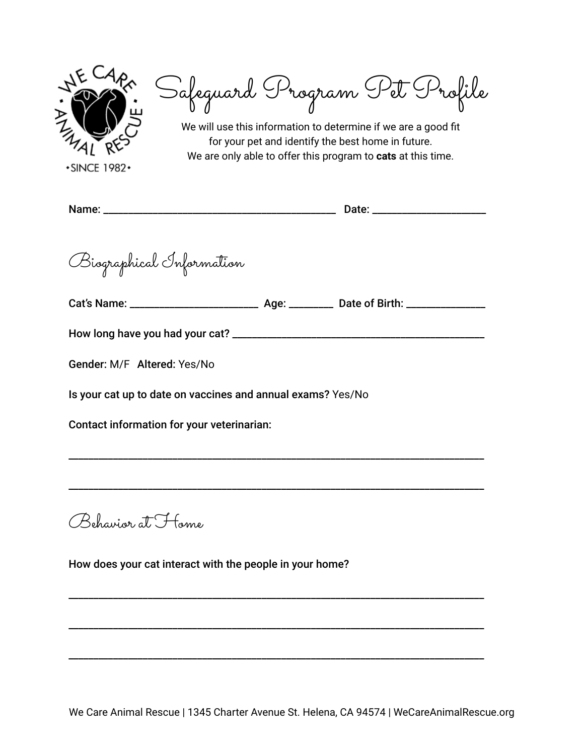

Safeguard Program Pet Profile

We will use this information to determine if we are a good fit for your pet and identify the best home in future. We are only able to offer this program to **cats** at this time.

**+SINCE 1982+** 

Name: \_\_\_\_\_\_\_\_\_\_\_\_\_\_\_\_\_\_\_\_\_\_\_\_\_\_\_\_\_\_\_\_\_\_\_\_\_\_\_\_\_\_\_\_\_\_\_ Date: \_\_\_\_\_\_\_\_\_\_\_\_\_\_\_\_\_\_\_\_\_\_\_

Biographical Information

Cat's Name: \_\_\_\_\_\_\_\_\_\_\_\_\_\_\_\_\_\_\_\_\_\_\_\_\_\_ Age: \_\_\_\_\_\_\_\_\_ Date of Birth: \_\_\_\_\_\_\_\_\_\_\_\_\_\_\_\_

\_\_\_\_\_\_\_\_\_\_\_\_\_\_\_\_\_\_\_\_\_\_\_\_\_\_\_\_\_\_\_\_\_\_\_\_\_\_\_\_\_\_\_\_\_\_\_\_\_\_\_\_\_\_\_\_\_\_\_\_\_\_\_\_\_\_\_\_\_\_\_\_\_\_\_\_\_\_\_\_\_\_\_\_

\_\_\_\_\_\_\_\_\_\_\_\_\_\_\_\_\_\_\_\_\_\_\_\_\_\_\_\_\_\_\_\_\_\_\_\_\_\_\_\_\_\_\_\_\_\_\_\_\_\_\_\_\_\_\_\_\_\_\_\_\_\_\_\_\_\_\_\_\_\_\_\_\_\_\_\_\_\_\_\_\_\_\_\_

\_\_\_\_\_\_\_\_\_\_\_\_\_\_\_\_\_\_\_\_\_\_\_\_\_\_\_\_\_\_\_\_\_\_\_\_\_\_\_\_\_\_\_\_\_\_\_\_\_\_\_\_\_\_\_\_\_\_\_\_\_\_\_\_\_\_\_\_\_\_\_\_\_\_\_\_\_\_\_\_\_\_\_\_

\_\_\_\_\_\_\_\_\_\_\_\_\_\_\_\_\_\_\_\_\_\_\_\_\_\_\_\_\_\_\_\_\_\_\_\_\_\_\_\_\_\_\_\_\_\_\_\_\_\_\_\_\_\_\_\_\_\_\_\_\_\_\_\_\_\_\_\_\_\_\_\_\_\_\_\_\_\_\_\_\_\_\_\_

\_\_\_\_\_\_\_\_\_\_\_\_\_\_\_\_\_\_\_\_\_\_\_\_\_\_\_\_\_\_\_\_\_\_\_\_\_\_\_\_\_\_\_\_\_\_\_\_\_\_\_\_\_\_\_\_\_\_\_\_\_\_\_\_\_\_\_\_\_\_\_\_\_\_\_\_\_\_\_\_\_\_\_\_

How long have you had your cat? \_\_\_\_\_\_\_\_\_\_\_\_\_\_\_\_\_\_\_\_\_\_\_\_\_\_\_\_\_\_\_\_\_\_\_\_\_\_\_\_\_\_\_\_\_\_\_\_\_\_\_

Gender: M/F Altered: Yes/No

Is your cat up to date on vaccines and annual exams? Yes/No

Contact information for your veterinarian:

Behavior at Home

How does your cat interact with the people in your home?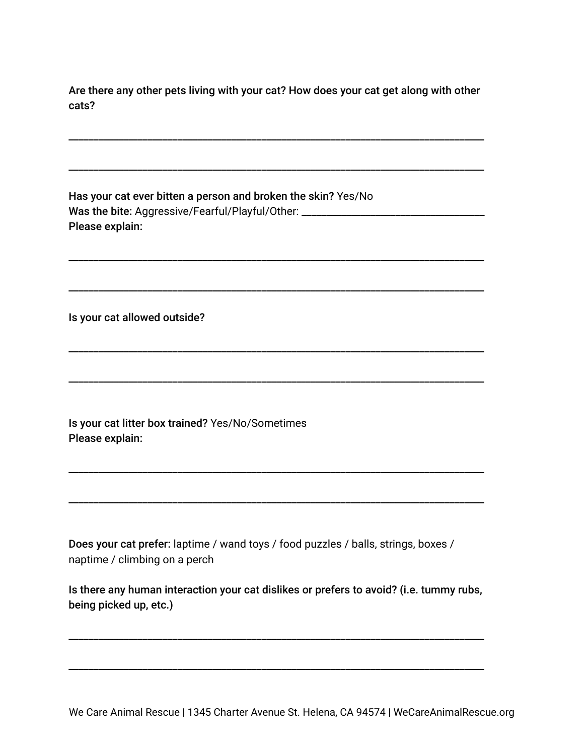Are there any other pets living with your cat? How does your cat get along with other cats?

\_\_\_\_\_\_\_\_\_\_\_\_\_\_\_\_\_\_\_\_\_\_\_\_\_\_\_\_\_\_\_\_\_\_\_\_\_\_\_\_\_\_\_\_\_\_\_\_\_\_\_\_\_\_\_\_\_\_\_\_\_\_\_\_\_\_\_\_\_\_\_\_\_\_\_\_\_\_\_\_\_\_\_\_

\_\_\_\_\_\_\_\_\_\_\_\_\_\_\_\_\_\_\_\_\_\_\_\_\_\_\_\_\_\_\_\_\_\_\_\_\_\_\_\_\_\_\_\_\_\_\_\_\_\_\_\_\_\_\_\_\_\_\_\_\_\_\_\_\_\_\_\_\_\_\_\_\_\_\_\_\_\_\_\_\_\_\_\_

\_\_\_\_\_\_\_\_\_\_\_\_\_\_\_\_\_\_\_\_\_\_\_\_\_\_\_\_\_\_\_\_\_\_\_\_\_\_\_\_\_\_\_\_\_\_\_\_\_\_\_\_\_\_\_\_\_\_\_\_\_\_\_\_\_\_\_\_\_\_\_\_\_\_\_\_\_\_\_\_\_\_\_\_

\_\_\_\_\_\_\_\_\_\_\_\_\_\_\_\_\_\_\_\_\_\_\_\_\_\_\_\_\_\_\_\_\_\_\_\_\_\_\_\_\_\_\_\_\_\_\_\_\_\_\_\_\_\_\_\_\_\_\_\_\_\_\_\_\_\_\_\_\_\_\_\_\_\_\_\_\_\_\_\_\_\_\_\_

\_\_\_\_\_\_\_\_\_\_\_\_\_\_\_\_\_\_\_\_\_\_\_\_\_\_\_\_\_\_\_\_\_\_\_\_\_\_\_\_\_\_\_\_\_\_\_\_\_\_\_\_\_\_\_\_\_\_\_\_\_\_\_\_\_\_\_\_\_\_\_\_\_\_\_\_\_\_\_\_\_\_\_\_

\_\_\_\_\_\_\_\_\_\_\_\_\_\_\_\_\_\_\_\_\_\_\_\_\_\_\_\_\_\_\_\_\_\_\_\_\_\_\_\_\_\_\_\_\_\_\_\_\_\_\_\_\_\_\_\_\_\_\_\_\_\_\_\_\_\_\_\_\_\_\_\_\_\_\_\_\_\_\_\_\_\_\_\_

\_\_\_\_\_\_\_\_\_\_\_\_\_\_\_\_\_\_\_\_\_\_\_\_\_\_\_\_\_\_\_\_\_\_\_\_\_\_\_\_\_\_\_\_\_\_\_\_\_\_\_\_\_\_\_\_\_\_\_\_\_\_\_\_\_\_\_\_\_\_\_\_\_\_\_\_\_\_\_\_\_\_\_\_

\_\_\_\_\_\_\_\_\_\_\_\_\_\_\_\_\_\_\_\_\_\_\_\_\_\_\_\_\_\_\_\_\_\_\_\_\_\_\_\_\_\_\_\_\_\_\_\_\_\_\_\_\_\_\_\_\_\_\_\_\_\_\_\_\_\_\_\_\_\_\_\_\_\_\_\_\_\_\_\_\_\_\_\_

Has your cat ever bitten a person and broken the skin? Yes/No Was the bite: Aggressive/Fearful/Playful/Other: \_\_\_\_\_\_\_\_\_\_\_\_\_\_\_\_\_\_\_\_\_\_\_\_\_\_\_\_\_\_\_\_ Please explain:

Is your cat allowed outside?

Is your cat litter box trained? Yes/No/Sometimes Please explain:

Does your cat prefer: laptime / wand toys / food puzzles / balls, strings, boxes / naptime / climbing on a perch

Is there any human interaction your cat dislikes or prefers to avoid? (i.e. tummy rubs, being picked up, etc.)

\_\_\_\_\_\_\_\_\_\_\_\_\_\_\_\_\_\_\_\_\_\_\_\_\_\_\_\_\_\_\_\_\_\_\_\_\_\_\_\_\_\_\_\_\_\_\_\_\_\_\_\_\_\_\_\_\_\_\_\_\_\_\_\_\_\_\_\_\_\_\_\_\_\_\_\_\_\_\_\_\_\_\_\_

\_\_\_\_\_\_\_\_\_\_\_\_\_\_\_\_\_\_\_\_\_\_\_\_\_\_\_\_\_\_\_\_\_\_\_\_\_\_\_\_\_\_\_\_\_\_\_\_\_\_\_\_\_\_\_\_\_\_\_\_\_\_\_\_\_\_\_\_\_\_\_\_\_\_\_\_\_\_\_\_\_\_\_\_